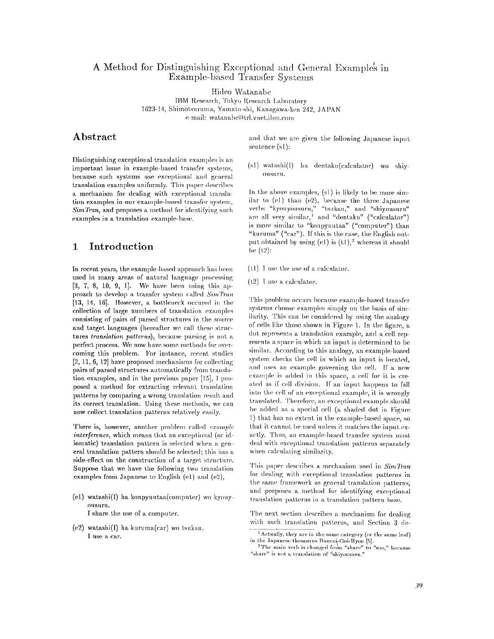## A Method for Distinguishing Exceptional and General Examples in Example-based Transfer Systems

Hideo Watanabe

IBM Research, Tokyo Research Laboratory 1623-14, Shimotsuruma, Yamato-shi, Kanagawa-ken 242, JAPAN e-mail: watanabe@trl.vnet.ibm.com

## **Abstract**

Distinguishing exceptional translation examples is an important issue in example-based transfer systems, because such systems use exceptional and general translation examples uniformly. This paper describes a mechanism for dealing with exceptional translation examples in our example-based transfer system, *SimTran*, and proposes a method for identifying such examples in a translation example-base.

## **1 Introduction**

In recent years, the example-based approach has been used in many areas of natural language processing  $[3, 7, 8, 10, 9, 1]$ . We have been using this approach to develop a transfer system called  $SimTran$ [13, 14, 16]. However, a bottleneck occured in the collection of large numbers of translation examples **consisting of pairs of parsed structures in the source**  and target languages (hereafter we call these struc**tures** *translation patterns)~* because parsing is not **a**  perfect process. We now have some methods for overcoming this problem. For instance, recent studies [2, 11, 6, 12] have proposed mechanisms for collecting pairs of parsed structures automatically from translation examples, and in the previous paper [15], 1 proposed a method for extracting relevant translation patterns by comparing a wrong translation result and its correct translation. Using these methods, we can now collect translation patterns relatively easily.

There is, however, another problem called *example interference*, which means that an exceptional (or idiomatie) translation pattern is selected when a general translation pattern should be selected; this has a side-effect on the construction of a target structure. Suppose that we have the following two translation examples from Japanese to English (el) and (e2),

- (e1) watashi(I) ha konpyuutaa(computer) wo kyouyollsllrll. I share the use of a computer.
- (e2) watashi(I) ha kuruma(car) wo tsukau. I use a car.

and that we are given the following Japanese input sentence (sl):

(s1) watashi(l) ha dentaku(calculator) wo shiy-OIISH rll.

In the above examples,  $(s_1)$  is likely to be more similar to (e1) than (e2), because the three Japanese verbs "kyouyousuru," "tsukau," and "shiyousuru" are all very similar,  $\frac{1}{x}$  and "dentaku" ("calculator") is more similar to "konpyuutaa" ("computer") than "kuruma" ("car"). If this is the case, the English output obtained by using  $(e1)$  is  $(t1),<sup>2</sup>$  whereas it should  $be(12):$ 

- (tl) I use the use of a calculator.
- (t2) I use a calculator.

This problem occurs because example-based transfer systems choose examples simply on the basis of similarity. This can be considered by using the analogy of cells like those shown in Figure 1. In the [igure, a dot represents a translation example, and a cell represents a space in which an input is determined to be similar. According to this analogy, an example-based system checks the cell in which an input is located, and uses an example governing the cell. If a new example is added in this space, a cell for it is created as if cell division. If an input happens to fall into the cell of an exceptional example, it is wrongly translated. Therefore, an exceptional example should be added as a special cell (a shaded dot in Figure 1) that has no extent in the example-based space, so that it cannot be used unless it matches the input exactly. Thus, an example-based transfer system must deal with exceptional translation patterns separately when calculating similarity.

This paper describes a mechanism used in  $SimThan$ for dealing with exceptional translation patterns in the same framework as general translation patterns, and proposes a method for identifying exceptional translation patterns in a translation pattern base.

The next section describes a mechanism for dealing with such translation patterns, and Section 3 de-

 $\frac{1}{1}$  Actually, they are in the same category (or the same leaf) in the Japanese thesaurus Buurui-Goi-Ilyou [5].

<sup>&</sup>lt;sup>2</sup>The main verb is changed from "share" to "use," because "share" is not a translation of "shiyousuru."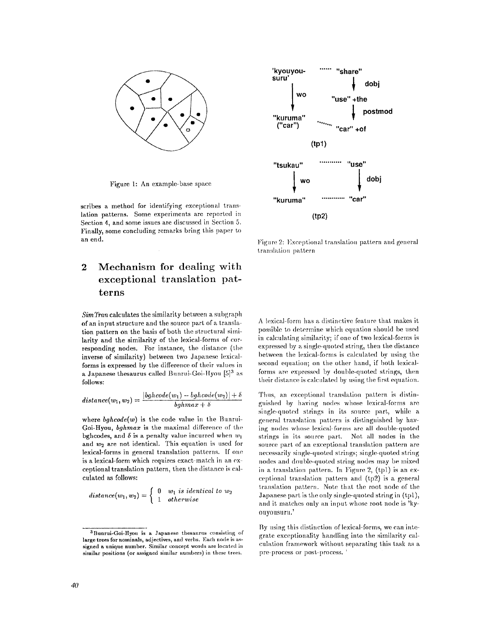

Figure 1: An example-base space

scribes a method for identifying exceptional translation patterns. Some experiments are reported in Section 4, and some issues are discussed in Section 5. Finally, some concluding remarks bring this paper to an end.

# **2 Mechanism for dealing with exceptional translation patterns**

*SimTran* calculates the similarity between a subgraph of an input structure and the source part of a translation pattern on the basis of both the structural similarity **and the** similarity of the lexical-forms of corresponding nodes. For instance, the distance (the inverse of similarity) between two Japanese lexicalforms is expressed by the difference of their values in a Japanese thesaurus called Bunrui-Goi-Hyou [5]<sup>3</sup> as follows:

$$
distance(w_1, w_2) = \frac{|bghcode(w_1) - bghcode(w_2)| + \delta}{bghmax + \delta}
$$

where  $bghcode(w)$  is the code value in the Bunrui-Goi-Hyou, *bghmax* is the maximal difference of the bghcodes, and  $\delta$  is a penalty value incurred when  $w_1$ and  $w_2$  are not identical. This equation is used for lexical-forms in general translation patterns. If one is a lexical-form which requires exact-match in an exceptional translation pattern, then the distance is calculated as follows:

distance
$$
(w_1, w_2)
$$
 = 
$$
\begin{cases} 0 & w_1 \text{ is identical to } w_2 \\ 1 & otherwise \end{cases}
$$



Figure 2: Exceptional translation pattern and general translation pattern

A lexical-form has a distinctive feature that makes it possible to determine which equation should be used in calculating similarity; if one of two lexical-forms is expressed by a single-quoted string, then the distance between the lexical-forms is calculated by using the second equation; on the other hand, if both lexicalforms are expressed by double-quoted strings, then their distance is calculated by using the first equation.

Thus, an exceptional translation pattern is distinguished by having nodes whose lexical-forms are single-quoted strings in its source part, while a general translation pattern is distinguished by having nodes whose lexical-forms are all double-quoted strings in its source part. Not all nodes in the source part of an exceptional translation pattern are necessarily single-quoted strings; single-quoted string nodes and double-quoted string nodes may be mixed in a translation pattern. In Figure 2,  $(tpl)$  is an exceptional translation pattern and  $(tp2)$  is a general translation pattern. Note that the root node of the Japanese part is the only single-quoted string in (tpl), and it matches only an input whose root node is 'kyouyousuru.'

By using this distinction of lexical-forms, we can integrate exceptionality handling into the similarity calculation framework without separating this task as a pre process or post-process. '

<sup>&</sup>lt;sup>3</sup> Bunrui-Goi-Hyou is a Japanese thesaurus consisting of **large trees** for nominals, **adjectives, and** verbs. Each node is assigned a unique number. Similar concept words are located in similar positions (or assigned similar numbers) in these trees.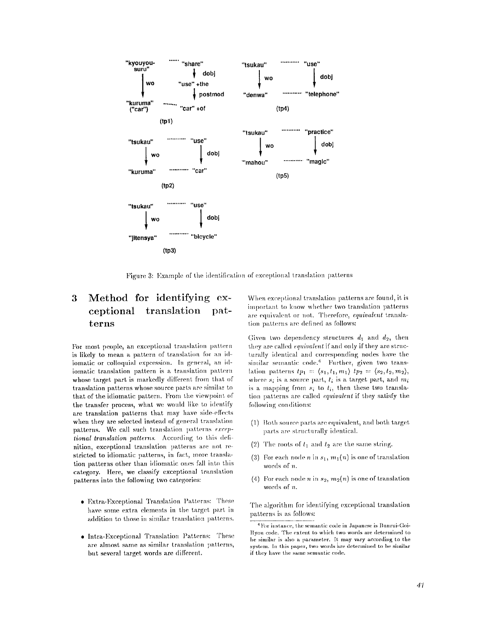

Figure 3: Example of the identification of exceptional translation patterns

#### Method for identifying ex-3 translation ceptional patterns

For most people, an exceptional translation pattern is likely to mean a pattern of translation for an idiomatic or colloquial expression. In general, an idiomatic translation pattern is a translation pattern whose target part is markedly different from that of translation patterns whose source parts are similar to that of the idiomatic pattern. From the viewpoint of the transfer process, what we would like to identify are translation patterns that may have side-effects when they are selected instead of general translation patterns. We call such translation patterns exceptional translation patterns. According to this definition, exceptional translation patterns are not restricted to idiomatic patterns, in fact, more translation patterns other than idiomatic ones fall into this category. Here, we classify exceptional translation patterns into the following two categories:

- Extra-Exceptional Translation Patterns: These have some extra elements in the target part in addition to those in similar translation patterns.
- Intra-Exceptional Translation Patterns: These are almost same as similar translation patterns, but several target words are different.

When exceptional translation patterns are found, it is important to know whether two translation patterns are equivalent or not. Therefore, equivalent translation patterns are defined as follows:

Given two dependency structures  $d_1$  and  $d_2$ , then they are called *equivalent* if and only if they are structurally identical and corresponding nodes have the similar semantic code.<sup>4</sup> Further, given two translation patterns  $tp_1 = \langle s_1, t_1, m_1 \rangle$   $tp_2 = \langle s_2, t_2, m_2 \rangle$ , where  $s_i$  is a source part,  $t_i$  is a target part, and  $m_i$ is a mapping from  $s_i$  to  $t_i$ , then these two translation patterns are called *equivalent* if they satisfy the following conditions:

- (1) Both source parts are equivalent, and both target parts are structurally identical.
- (2) The roots of  $t_1$  and  $t_2$  are the same string.
- (3) For each node *n* in  $s_1$ ,  $m_1(n)$  is one of translation words of  $n$ .
- (4) For each node *n* in  $s_2$ ,  $m_2(n)$  is one of translation words of  $n$ .

The algorithm for identifying exceptional translation patterns is as follows:

<sup>&</sup>lt;sup>4</sup> For instance, the semantic code in Japanese is Bunrui-Goi-Hyou code. The extent to which two words are determined to be similar is also a parameter. It may vary according to the system. In this paper, two words are determined to be similar if they have the same semantic code.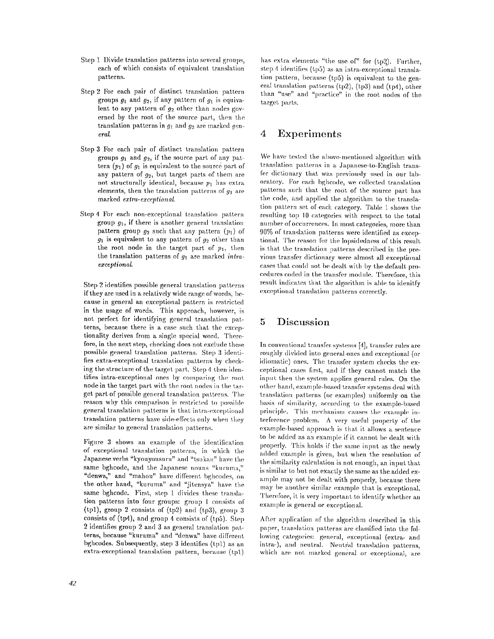- Step 1 Divide translation patterns into several groups, each of which consists of equivalent translation patterns.
- **Step** 2 For each pair of distinct translation pattern groups  $g_1$  and  $g_2$ , if any pattern of  $g_1$  is equivalent to any pattern of  $q_2$  other than nodes governed by the root of the source part, then the translation patterns in  $g_1$  and  $g_2$  are marked general.
- Step 3 For each pair of distinct translation pattern groups  $g_1$  and  $g_2$ , if the source part of any pattern  $(p_1)$  of  $q_1$  is equivalent to the source part of any pattern of  $g_2$ , but target parts of them are not structurally identical, because  $p_1$  has extra elements, then the translation patterns of  $g_1$  are marked *extm-exeeptionaL*
- **Step** 4 For each non-exceptional translation pattern group  $g_1$ , if there is another general translation pattern group  $g_2$  such that any pattern  $(p_1)$  of  $g_1$  is equivalent to any pattern of  $g_2$  other than the root node in the target part of  $p_1$ , then the translation patterns of  $q_1$  are marked *intraexceptional.*

Step 2 identifies possible general translation patterns if they are used in a relatively wide range of words, because in general an exceptional pattern is restricted in the usage of words. This approach, however, is not perfect for identifying general translation patterns, because there is a case such that the exceptionality derives from a single special word. Therefore, in the next step, checking does not exclude these possible general translation patterns. Step 3 identities extra-exceptional translation patterns by checking the structure of the target part. Step 4 then identifies intra-exceptional ones by comparing the mot node in the target part with the root nodes in the target part of possible general translation patterns. The reason why this comparison is restricted to possible general translation patterns is that intra-exceptional translation patterns have side-effects only when they are similar to general translation patterns.

Figure 3 shows an example of the identiflcation of exceptional translation patterns, in which the Japanese verbs "kyouyousuru" and "tsukau" have the same bghcode, and the Japanese nouns "kuruma," "denwa," and "mahou" have different bghcodes, on the other hand, "kuruma" and "jitensya" have the same bghcode. First, step 1 divides these translation patterns into four groups: group 1 consists of (tpl), group 2 consists of (tp2) and (tp3), group 3 consists of (tp4), and group 4 consists of (tp5). Step 2 identifies group 2 and 3 as general translation patterns, because "kuruma" and "denwa" have different bghcodes. Subsequently, step 3 identifies (tpl) as an  $extra-exceptional translation pattern, because (tp1)$ 

has extra elements "the use of" for  $(tp2)$ . Further, step 4 identifies (tp5) as an intra-exceptional translation pattern, because (tp5) is equivalent to the general translation patterns (tp2), (tp3) and (tp4), other than "use" and "practice" in the root nodes of the target parts.

## **4 Experiments**

We have tested the above-mentioned algorithm with translation patterns in a Japanese-to-English transfer dictionary that was previously used in our laboratory. For each bghcode, we. collected translation patterns such that the root of the source part has the code, and applied the algorithm to the translation pattern set of each category. Table 1 shows the resulting top 10 categories with respect to the total number of occurrences. In most categories, more than 90% of translation patterns were identified as exceptional. The reason for the lopsidedness of this result is that the translation patterns described in the previous transfer dictionary were almost all exceptional cases that could not be dealt with by the default procedures coded in the transfer module. Therefore, this result indicates that the algorithm is able to idenitfy exceptional translation patterns correctly.

## **5 Discussion**

In conventional transfer systems  $[4]$ , transfer rules are roughly divhled into general ones and exceptional (or idiomatic) ones. The transfer system checks the exceptional cases first, and if they cannot match the input then the system applies general rules. On the other hand, example-based transfer systems deal with translation patterns (or examples) uniformly on the basis of similarity, according to the example-based principle. This mechanism causes the example interference problem. A very useful property of the example-based approach is that it allows a sentence to be added as an example if it cannot be dealt with properly. This holds if the same input as the newly added example is given, but when the resolution of the similarity calculation is not enough, an input that is similar to but not exactly the same as the added example may not be dealt with properly, because there may be another similar example that is exceptional. Therefore, it is very important to identify whether an example is general or exceptional.

After application of the algorithm described in this paper, translation patterns are classified into the fol-. lowing categories: general, exceptional (extra- and intra-), and neutral. Neutral translation patterns, which are not marked general or exceptional, are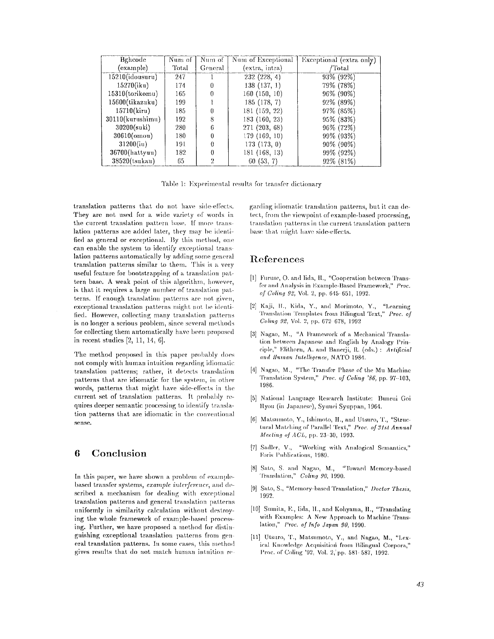| Bghcode             | Num of | Num of         | Num of Exceptional | Exceptional (extra only) |
|---------------------|--------|----------------|--------------------|--------------------------|
| (example)           | Total" | General        | (extra, intra)     | /Total                   |
| $15210$ (idousuru)  | 247    |                | 232(228, 4)        | 93% (92%)                |
| 15270(iku)          | 174    | 0              | 138(137, 1)        | 79% (78%)                |
| $15310$ (torikomu)  | 165    | 0              | 160(150, 10)       | 96% (90%)                |
| 15600(tikazuku)     | 199    |                | 185 (178, 7)       | 92% (89%)                |
| 15710(kiru)         | 185    | 0              | 181 (159, 22)      | 97% (85%)                |
| $30110$ (kurushimu) | 192    | 8              | 183 (160, 23)      | 95% (83%)                |
| $30200$ (suki)      | 280    | 6              | 271 (203, 68)      | 96% (72%)                |
| $30610$ (omou)      | 180    | 0              | 179 (169, 10)      | 99% (93%)                |
| 31200(iu)           | 191    | 0              | 173(173, 0)        | 90% (90%)                |
| $36700$ (hattyuu)   | 182    | 0              | 181 (168, 13)      | 99% (92%)                |
| 38520(tsukau)       | 65     | $\overline{2}$ | 60(53, 7)          | 92% (81%)                |

Table 1: Experimental results for transfer dictionary

translation patterns that do not have side-effects. They are not used for a wide variety of words in the current translation pattern base. If more translation patterns are added later, they may be identified as general or exceptional. By this method, one can enable the system to identify exceptional translation patterns automatically hy adding some general translation patterns similar to them. This is a very useful feature for bootstrapping of a translation pat $t$ ern base. A weak point of this algorithm, however, is that it requires a large number of translation patterns. If enough translation patterns are not given, exceptional translation patterns might not be identified. However, collecting many translation patterns is no longer a serious problem, since several methods for collecting them automatically have been proposed in recent studies [2, 11, 14, 6].

The method proposed in this paper probably does not comply with human intuition regarding idiomatic translation patterns; rather, it detects translation patterns that are idiomatic for the system, in other words, patterns that might have side-effects in the current set of translation patterns. It probably requires deeper semantic processing to identify translation patterns that are idiomatic in the conventional sense.

## **6 Conclusion**

In this paper, we have shown a problem of examplebased transfer systems, *example interference*, and described a mechanism for dealing with exceptional translation patterns and general translation patterns uniformly in similarity calculation without destroying the whole framework of example-based processing. Further, we have proposed a method for distinguishing exceptional translation patterns from general translation patterns. In some cases, this method gives results that do not match human intuition regarding idiomatic translation patterns, but it can detect, from the viewpoint of example-based processing, translation patterns in the current translation pattern base that might have side-effects.

### **References**

- [1] Furuse, O. and Iida, 1l., *"Cooperation* between Transfer and Analysis in Example-Based Framework," Proc. *of Coling 92,* Vol. 2, pp. 648-681, 1992.
- [2] Kaji, H., Kida, Y., and Morimoto, Y., "Learning Translation Templates from Bilingual Text," *Proc. of Colin.q 92,* Vol. 2, pp. **672 678,** 1992
- [3] Nagao, M., "A Framework of a Mechanical Translation between Japanese and English by Analogy Principle," Elithorn, A. and Banerji, R. (eds.) : *Artificial and Human lr~.lelhgence,* NA'I'O 1984.
- [4] Nagao, M., "The Transfer Phase of the Mu Machine Translation System," *Proc. of Coling '86*, pp. 97-103, **1986.**
- [5] National Language Research Institute: Bunrui Goi llyou (in Japanese), Syuuei Syuppan, 1964.
- [6] Matsumoto, Y., Ishimoto, H., and Utsuro, T., "Structural Matching of Parallel Text," Proc. of 31st Annual *Meeting of ACL*, pp. 23-30, 1993.
- [7] Sadler, V., "Working with Analogical Semantics," Foris Publications, 1989.
- [8] Sato, S. and Nagao, M., "Toward Memory-based 'l'ranshtl.ion," *Col\*ng 90,* ]990.
- [9] Sato, S., "Memory-based Translation," *Doctor Thesis*, 1992.
- [10] Sumita, E., Iida, II., and Kohyama, H., "Translating with Examples: A New Approach to Machine Translation," *Proc. of Info Japan 90*, 1990.
- [11] Utsuro, T., Matsumoto, Y., and Nagao, M., "Lexical Knowledge Acquisition from Bilingual Corpora," l)rac, of C¢)ling '92, Vol. 2,'pp. 581-587, 1992.